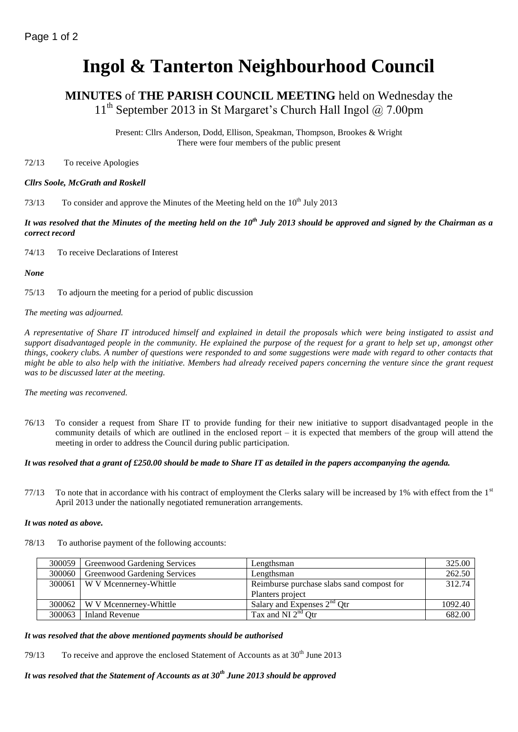# **Ingol & Tanterton Neighbourhood Council**

## **MINUTES** of **THE PARISH COUNCIL MEETING** held on Wednesday the 11<sup>th</sup> September 2013 in St Margaret's Church Hall Ingol @ 7.00pm

Present: Cllrs Anderson, Dodd, Ellison, Speakman, Thompson, Brookes & Wright There were four members of the public present

72/13 To receive Apologies

## *Cllrs Soole, McGrath and Roskell*

73/13 To consider and approve the Minutes of the Meeting held on the 10<sup>th</sup> July 2013

*It was resolved that the Minutes of the meeting held on the 10th July 2013 should be approved and signed by the Chairman as a correct record*

74/13 To receive Declarations of Interest

*None*

75/13 To adjourn the meeting for a period of public discussion

*The meeting was adjourned.*

*A representative of Share IT introduced himself and explained in detail the proposals which were being instigated to assist and support disadvantaged people in the community. He explained the purpose of the request for a grant to help set up, amongst other things, cookery clubs. A number of questions were responded to and some suggestions were made with regard to other contacts that might be able to also help with the initiative. Members had already received papers concerning the venture since the grant request was to be discussed later at the meeting.*

*The meeting was reconvened.*

76/13 To consider a request from Share IT to provide funding for their new initiative to support disadvantaged people in the community details of which are outlined in the enclosed report – it is expected that members of the group will attend the meeting in order to address the Council during public participation.

## *It was resolved that a grant of £250.00 should be made to Share IT as detailed in the papers accompanying the agenda.*

77/13 To note that in accordance with his contract of employment the Clerks salary will be increased by 1% with effect from the  $1<sup>st</sup>$ April 2013 under the nationally negotiated remuneration arrangements.

## *It was noted as above.*

78/13 To authorise payment of the following accounts:

| 300059 | Greenwood Gardening Services    | Lengthsman                                        | 325.00  |
|--------|---------------------------------|---------------------------------------------------|---------|
| 300060 | Greenwood Gardening Services    | Lengthsman                                        | 262.50  |
|        | 300061   W V Mcennerney-Whittle | Reimburse purchase slabs sand compost for         | 312.74  |
|        |                                 | Planters project                                  |         |
|        | 300062   W V Mcennerney-Whittle | Salary and Expenses $2nd$ Otr                     | 1092.40 |
| 300063 | Inland Revenue                  | Tax and $\overline{\text{NI } 2^{\text{nd}}}$ Qtr | 682.00  |

## *It was resolved that the above mentioned payments should be authorised*

79/13 To receive and approve the enclosed Statement of Accounts as at  $30<sup>th</sup>$  June 2013

*It was resolved that the Statement of Accounts as at 30th June 2013 should be approved*